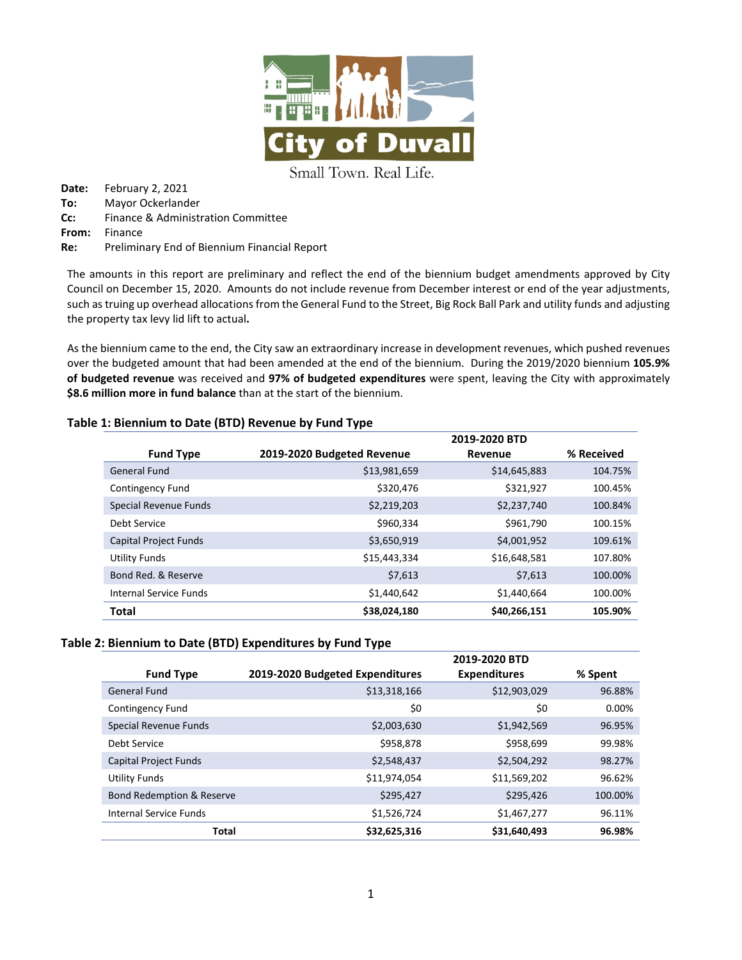

Small Town. Real Life.

**Date:** February 2, 2021 **To:** Mayor Ockerlander **Cc:** Finance & Administration Committee **From:** Finance **Re:** Preliminary End of Biennium Financial Report

The amounts in this report are preliminary and reflect the end of the biennium budget amendments approved by City Council on December 15, 2020. Amounts do not include revenue from December interest or end of the year adjustments, such as truing up overhead allocations from the General Fund to the Street, Big Rock Ball Park and utility funds and adjusting the property tax levy lid lift to actual**.** 

As the biennium came to the end, the City saw an extraordinary increase in development revenues, which pushed revenues over the budgeted amount that had been amended at the end of the biennium. During the 2019/2020 biennium **105.9% of budgeted revenue** was received and **97% of budgeted expenditures** were spent, leaving the City with approximately **\$8.6 million more in fund balance** than at the start of the biennium.

|                         |                            | 2019-2020 BTD |            |
|-------------------------|----------------------------|---------------|------------|
| <b>Fund Type</b>        | 2019-2020 Budgeted Revenue | Revenue       | % Received |
| General Fund            | \$13,981,659               | \$14,645,883  | 104.75%    |
| <b>Contingency Fund</b> | \$320,476                  | \$321,927     | 100.45%    |
| Special Revenue Funds   | \$2,219,203                | \$2,237,740   | 100.84%    |
| Debt Service            | \$960,334                  | \$961,790     | 100.15%    |
| Capital Project Funds   | \$3,650,919                | \$4,001,952   | 109.61%    |
| Utility Funds           | \$15,443,334               | \$16,648,581  | 107.80%    |
| Bond Red. & Reserve     | \$7,613                    | \$7,613       | 100.00%    |
| Internal Service Funds  | \$1,440,642                | \$1,440,664   | 100.00%    |
| Total                   | \$38,024,180               | \$40,266,151  | 105.90%    |

## **Table 1: Biennium to Date (BTD) Revenue by Fund Type**

#### **Table 2: Biennium to Date (BTD) Expenditures by Fund Type**

|                           |                                 | 2019-2020 BTD       |         |
|---------------------------|---------------------------------|---------------------|---------|
| <b>Fund Type</b>          | 2019-2020 Budgeted Expenditures | <b>Expenditures</b> | % Spent |
| <b>General Fund</b>       | \$13,318,166                    | \$12,903,029        | 96.88%  |
| Contingency Fund          | \$0                             | \$0                 | 0.00%   |
| Special Revenue Funds     | \$2,003,630                     | \$1,942,569         | 96.95%  |
| Debt Service              | \$958,878                       | \$958,699           | 99.98%  |
| Capital Project Funds     | \$2,548,437                     | \$2,504,292         | 98.27%  |
| Utility Funds             | \$11,974,054                    | \$11,569,202        | 96.62%  |
| Bond Redemption & Reserve | \$295,427                       | \$295,426           | 100.00% |
| Internal Service Funds    | \$1,526,724                     | \$1,467,277         | 96.11%  |
| Total                     | \$32,625,316                    | \$31,640,493        | 96.98%  |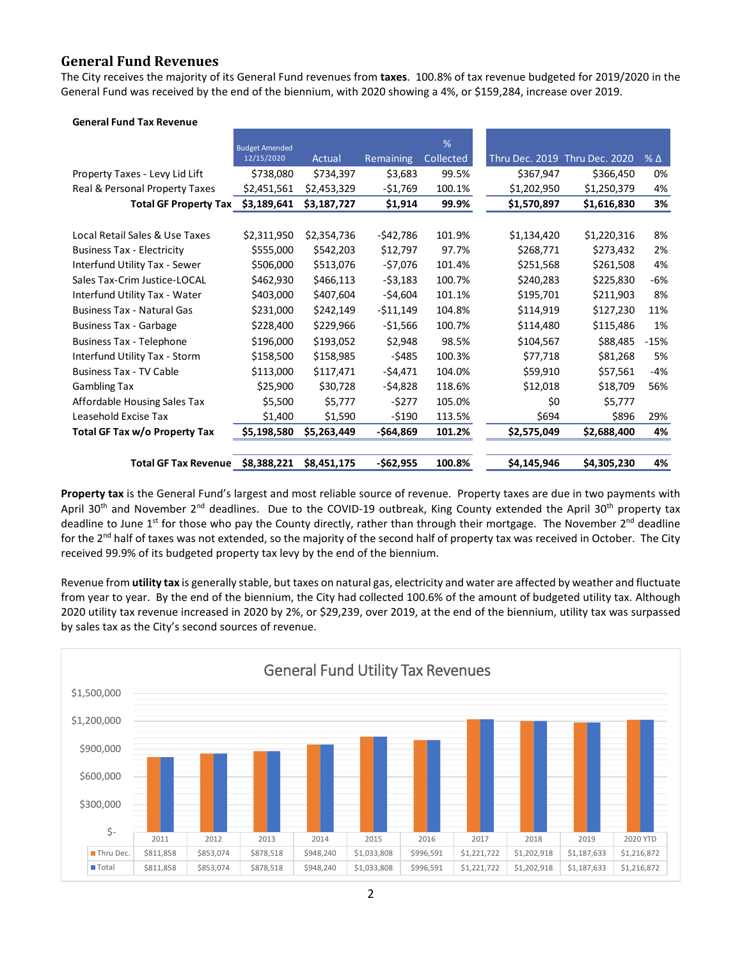## **General Fund Revenues**

The City receives the majority of its General Fund revenues from **taxes**. 100.8% of tax revenue budgeted for 2019/2020 in the General Fund was received by the end of the biennium, with 2020 showing a 4%, or \$159,284, increase over 2019.

| <b>General Fund Tax Revenue</b>   |                       |             |            |           |                       |                |              |
|-----------------------------------|-----------------------|-------------|------------|-----------|-----------------------|----------------|--------------|
|                                   | <b>Budget Amended</b> |             |            | %         |                       |                |              |
|                                   | 12/15/2020            | Actual      | Remaining  | Collected | <b>Thru Dec. 2019</b> | Thru Dec. 2020 | $%$ $\Delta$ |
| Property Taxes - Levy Lid Lift    | \$738,080             | \$734,397   | \$3,683    | 99.5%     | \$367,947             | \$366,450      | 0%           |
| Real & Personal Property Taxes    | \$2,451,561           | \$2,453,329 | -\$1,769   | 100.1%    | \$1,202,950           | \$1,250,379    | 4%           |
| <b>Total GF Property Tax</b>      | \$3,189,641           | \$3,187,727 | \$1,914    | 99.9%     | \$1,570,897           | \$1,616,830    | 3%           |
|                                   |                       |             |            |           |                       |                |              |
| Local Retail Sales & Use Taxes    | \$2,311,950           | \$2,354,736 | $-542,786$ | 101.9%    | \$1,134,420           | \$1,220,316    | 8%           |
| <b>Business Tax - Electricity</b> | \$555,000             | \$542,203   | \$12,797   | 97.7%     | \$268,771             | \$273,432      | 2%           |
| Interfund Utility Tax - Sewer     | \$506,000             | \$513,076   | -\$7,076   | 101.4%    | \$251,568             | \$261,508      | 4%           |
| Sales Tax-Crim Justice-LOCAL      | \$462,930             | \$466,113   | -\$3,183   | 100.7%    | \$240,283             | \$225,830      | -6%          |
| Interfund Utility Tax - Water     | \$403,000             | \$407,604   | -\$4,604   | 101.1%    | \$195,701             | \$211,903      | 8%           |
| <b>Business Tax - Natural Gas</b> | \$231,000             | \$242,149   | -\$11,149  | 104.8%    | \$114,919             | \$127,230      | 11%          |
| <b>Business Tax - Garbage</b>     | \$228,400             | \$229,966   | $-$1,566$  | 100.7%    | \$114,480             | \$115,486      | 1%           |
| <b>Business Tax - Telephone</b>   | \$196,000             | \$193,052   | \$2,948    | 98.5%     | \$104,567             | \$88,485       | $-15%$       |
| Interfund Utility Tax - Storm     | \$158,500             | \$158,985   | $-5485$    | 100.3%    | \$77,718              | \$81,268       | 5%           |
| <b>Business Tax - TV Cable</b>    | \$113,000             | \$117,471   | -\$4,471   | 104.0%    | \$59,910              | \$57,561       | -4%          |
| <b>Gambling Tax</b>               | \$25,900              | \$30,728    | -\$4,828   | 118.6%    | \$12,018              | \$18,709       | 56%          |
| Affordable Housing Sales Tax      | \$5,500               | \$5,777     | -\$277     | 105.0%    | \$0                   | \$5,777        |              |
| Leasehold Excise Tax              | \$1,400               | \$1,590     | -\$190     | 113.5%    | \$694                 | \$896          | 29%          |
| Total GF Tax w/o Property Tax     | \$5,198,580           | \$5,263,449 | -\$64,869  | 101.2%    | \$2,575,049           | \$2,688,400    | 4%           |
|                                   |                       |             |            |           |                       |                |              |
| <b>Total GF Tax Revenue</b>       | \$8,388,221           | \$8,451,175 | $-$62,955$ | 100.8%    | \$4,145,946           | \$4,305,230    | 4%           |

**Property tax** is the General Fund's largest and most reliable source of revenue. Property taxes are due in two payments with April 30<sup>th</sup> and November 2<sup>nd</sup> deadlines. Due to the COVID-19 outbreak, King County extended the April 30<sup>th</sup> property tax deadline to June  $1^{st}$  for those who pay the County directly, rather than through their mortgage. The November  $2^{nd}$  deadline for the 2<sup>nd</sup> half of taxes was not extended, so the majority of the second half of property tax was received in October. The City received 99.9% of its budgeted property tax levy by the end of the biennium.

Revenue from **utility tax** is generally stable, but taxes on natural gas, electricity and water are affected by weather and fluctuate from year to year. By the end of the biennium, the City had collected 100.6% of the amount of budgeted utility tax. Although 2020 utility tax revenue increased in 2020 by 2%, or \$29,239, over 2019, at the end of the biennium, utility tax was surpassed by sales tax as the City's second sources of revenue.

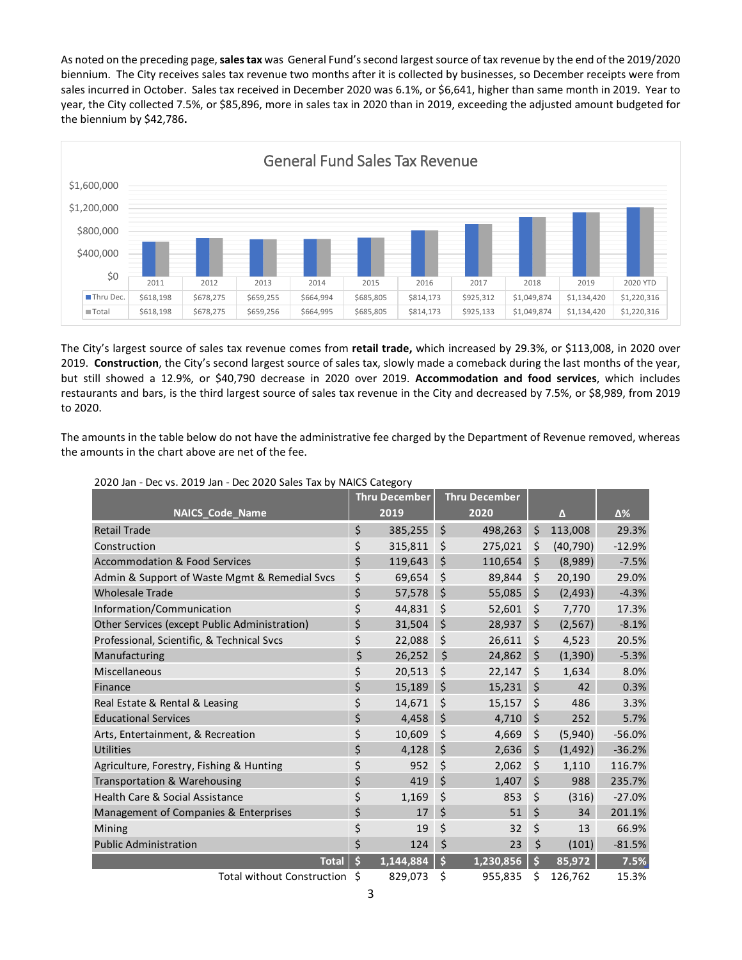As noted on the preceding page,**sales tax** was General Fund's second largest source of tax revenue by the end of the 2019/2020 biennium. The City receives sales tax revenue two months after it is collected by businesses, so December receipts were from sales incurred in October. Sales tax received in December 2020 was 6.1%, or \$6,641, higher than same month in 2019. Year to year, the City collected 7.5%, or \$85,896, more in sales tax in 2020 than in 2019, exceeding the adjusted amount budgeted for the biennium by \$42,786**.**



The City's largest source of sales tax revenue comes from **retail trade,** which increased by 29.3%, or \$113,008, in 2020 over 2019. **Construction**, the City's second largest source of sales tax, slowly made a comeback during the last months of the year, but still showed a 12.9%, or \$40,790 decrease in 2020 over 2019. **Accommodation and food services**, which includes restaurants and bars, is the third largest source of sales tax revenue in the City and decreased by 7.5%, or \$8,989, from 2019 to 2020.

The amounts in the table below do not have the administrative fee charged by the Department of Revenue removed, whereas the amounts in the chart above are net of the fee.

|                                               |    | <b>Thru December</b> | <b>Thru December</b> |                     |           |          |
|-----------------------------------------------|----|----------------------|----------------------|---------------------|-----------|----------|
| <b>NAICS_Code_Name</b>                        |    | 2019                 | 2020                 |                     | Δ         | Δ%       |
| <b>Retail Trade</b>                           | \$ | 385,255              | \$<br>498,263        | \$                  | 113,008   | 29.3%    |
| Construction                                  | \$ | 315,811              | \$<br>275,021        | \$                  | (40, 790) | $-12.9%$ |
| <b>Accommodation &amp; Food Services</b>      | \$ | 119,643              | \$<br>110,654        | \$                  | (8,989)   | $-7.5%$  |
| Admin & Support of Waste Mgmt & Remedial Svcs | \$ | 69,654               | \$<br>89,844         | \$                  | 20,190    | 29.0%    |
| <b>Wholesale Trade</b>                        | \$ | 57,578               | \$<br>55,085         | \$                  | (2, 493)  | $-4.3%$  |
| Information/Communication                     | \$ | 44,831               | \$<br>52,601         | \$                  | 7,770     | 17.3%    |
| Other Services (except Public Administration) | \$ | 31,504               | \$<br>28,937         | \$                  | (2, 567)  | $-8.1%$  |
| Professional, Scientific, & Technical Svcs    | \$ | 22,088               | \$<br>26,611         | \$                  | 4,523     | 20.5%    |
| Manufacturing                                 | \$ | 26,252               | \$<br>24,862         | $\ddot{\mathsf{S}}$ | (1, 390)  | $-5.3%$  |
| Miscellaneous                                 | \$ | 20,513               | \$<br>22,147         | \$                  | 1,634     | 8.0%     |
| Finance                                       | \$ | 15,189               | \$<br>15,231         | $\zeta$             | 42        | 0.3%     |
| Real Estate & Rental & Leasing                | \$ | 14,671               | \$<br>15,157         | \$                  | 486       | 3.3%     |
| <b>Educational Services</b>                   | \$ | 4,458                | \$<br>4,710          | \$                  | 252       | 5.7%     |
| Arts, Entertainment, & Recreation             | \$ | 10,609               | \$<br>4,669          | \$                  | (5,940)   | $-56.0%$ |
| <b>Utilities</b>                              | \$ | 4,128                | \$<br>2,636          | \$                  | (1, 492)  | $-36.2%$ |
| Agriculture, Forestry, Fishing & Hunting      | \$ | 952                  | \$<br>2,062          | \$                  | 1,110     | 116.7%   |
| Transportation & Warehousing                  | \$ | 419                  | \$<br>1,407          | \$                  | 988       | 235.7%   |
| <b>Health Care &amp; Social Assistance</b>    | \$ | 1,169                | \$<br>853            | \$                  | (316)     | $-27.0%$ |
| Management of Companies & Enterprises         | \$ | 17                   | \$<br>51             | \$                  | 34        | 201.1%   |
| Mining                                        | \$ | 19                   | \$<br>32             | \$                  | 13        | 66.9%    |
| <b>Public Administration</b>                  | \$ | 124                  | \$<br>23             | \$                  | (101)     | $-81.5%$ |
| <b>Total</b>                                  | Ś  | 1,144,884            | \$<br>1,230,856      | Ś                   | 85,972    | 7.5%     |
| <b>Total without Construction</b>             | Ś  | 829,073              | \$<br>955,835        | Ś                   | 126,762   | 15.3%    |

#### 2020 Jan - Dec vs. 2019 Jan - Dec 2020 Sales Tax by NAICS Category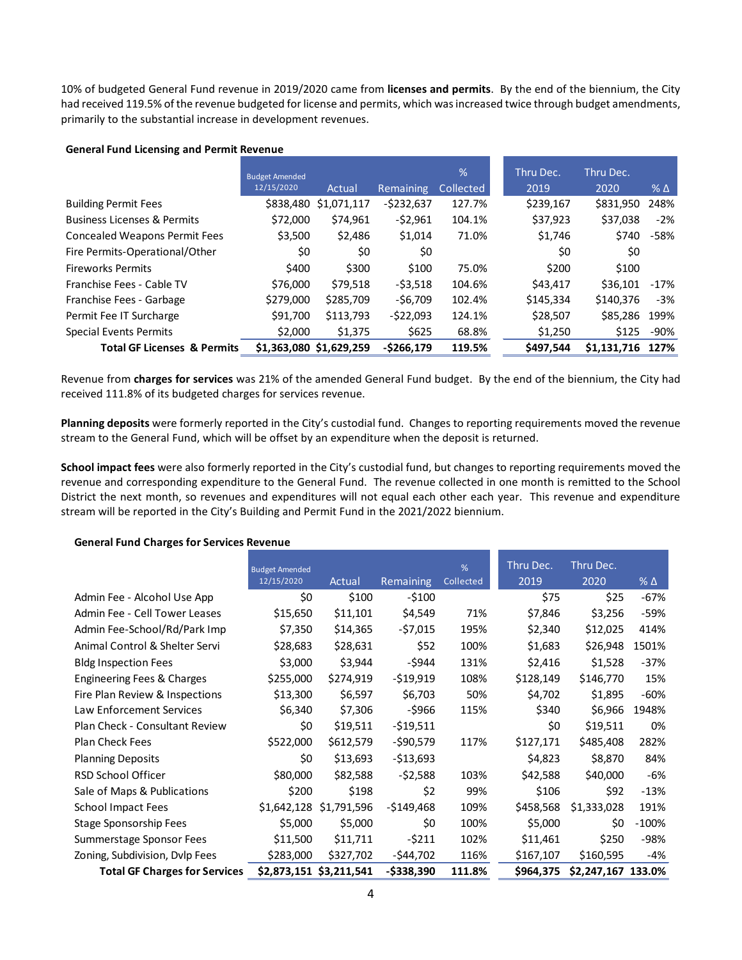10% of budgeted General Fund revenue in 2019/2020 came from **licenses and permits**. By the end of the biennium, the City had received 119.5% of the revenue budgeted for license and permits, which was increased twice through budget amendments, primarily to the substantial increase in development revenues.

|                                        | <b>Budget Amended</b><br>12/15/2020 | Actual      | <b>Remaining</b> | $\frac{9}{6}$<br>Collected | Thru Dec.<br>2019 | Thru Dec.<br>2020 | $%$ $\Delta$ |
|----------------------------------------|-------------------------------------|-------------|------------------|----------------------------|-------------------|-------------------|--------------|
| <b>Building Permit Fees</b>            | \$838,480                           | \$1,071,117 | $-5232,637$      | 127.7%                     | \$239,167         | \$831,950         | 248%         |
| <b>Business Licenses &amp; Permits</b> | \$72,000                            | \$74,961    | $-52,961$        | 104.1%                     | \$37,923          | \$37,038          | $-2%$        |
| <b>Concealed Weapons Permit Fees</b>   | \$3,500                             | \$2,486     | \$1,014          | 71.0%                      | \$1,746           | \$740             | -58%         |
| Fire Permits-Operational/Other         | \$0                                 | \$0         | \$0              |                            | \$0               | \$0               |              |
| <b>Fireworks Permits</b>               | \$400                               | \$300       | \$100            | 75.0%                      | \$200             | \$100             |              |
| Franchise Fees - Cable TV              | \$76,000                            | \$79.518    | $-53,518$        | 104.6%                     | \$43.417          | \$36,101          | $-17\%$      |
| Franchise Fees - Garbage               | \$279,000                           | \$285,709   | $-56.709$        | 102.4%                     | \$145,334         | \$140,376         | $-3%$        |
| Permit Fee IT Surcharge                | \$91,700                            | \$113,793   | $-522,093$       | 124.1%                     | \$28,507          | \$85,286          | 199%         |
| Special Events Permits                 | \$2,000                             | \$1,375     | \$625            | 68.8%                      | \$1,250           | \$125             | -90%         |
| <b>Total GF Licenses &amp; Permits</b> | \$1,363,080 \$1,629,259             |             | $-5266,179$      | 119.5%                     | \$497.544         | \$1.131.716       | 127%         |

#### **General Fund Licensing and Permit Revenue**

Revenue from **charges for services** was 21% of the amended General Fund budget. By the end of the biennium, the City had received 111.8% of its budgeted charges for services revenue.

**Planning deposits** were formerly reported in the City's custodial fund. Changes to reporting requirements moved the revenue stream to the General Fund, which will be offset by an expenditure when the deposit is returned.

**School impact fees** were also formerly reported in the City's custodial fund, but changes to reporting requirements moved the revenue and corresponding expenditure to the General Fund. The revenue collected in one month is remitted to the School District the next month, so revenues and expenditures will not equal each other each year. This revenue and expenditure stream will be reported in the City's Building and Permit Fund in the 2021/2022 biennium.

#### **General Fund Charges for Services Revenue**

|                                      | <b>Budget Amended</b><br>12/15/2020 | Actual                  | Remaining     | %<br>Collected | Thru Dec.<br>2019 | Thru Dec.<br>2020  | $%$ $\Delta$ |
|--------------------------------------|-------------------------------------|-------------------------|---------------|----------------|-------------------|--------------------|--------------|
| Admin Fee - Alcohol Use App          | \$0                                 | \$100                   | $-5100$       |                | \$75              | \$25               | $-67%$       |
| Admin Fee - Cell Tower Leases        | \$15,650                            | \$11,101                | \$4,549       | 71%            | \$7,846           | \$3,256            | -59%         |
| Admin Fee-School/Rd/Park Imp         | \$7,350                             | \$14,365                | -\$7,015      | 195%           | \$2,340           | \$12,025           | 414%         |
| Animal Control & Shelter Servi       | \$28,683                            | \$28,631                | \$52          | 100%           | \$1,683           | \$26,948           | 1501%        |
| <b>Bldg Inspection Fees</b>          | \$3,000                             | \$3,944                 | -\$944        | 131%           | \$2,416           | \$1,528            | $-37%$       |
| Engineering Fees & Charges           | \$255,000                           | \$274,919               | $-519,919$    | 108%           | \$128,149         | \$146,770          | 15%          |
| Fire Plan Review & Inspections       | \$13,300                            | \$6,597                 | \$6,703       | 50%            | \$4,702           | \$1,895            | $-60%$       |
| Law Enforcement Services             | \$6,340                             | \$7,306                 | -\$966        | 115%           | \$340             | \$6,966            | 1948%        |
| Plan Check - Consultant Review       | \$0                                 | \$19,511                | -\$19,511     |                | \$0               | \$19,511           | 0%           |
| Plan Check Fees                      | \$522,000                           | \$612,579               | -\$90,579     | 117%           | \$127,171         | \$485,408          | 282%         |
| <b>Planning Deposits</b>             | \$0                                 | \$13,693                | $-$13,693$    |                | \$4,823           | \$8,870            | 84%          |
| RSD School Officer                   | \$80,000                            | \$82,588                | $-52,588$     | 103%           | \$42,588          | \$40,000           | -6%          |
| Sale of Maps & Publications          | \$200                               | \$198                   | \$2           | 99%            | \$106             | \$92               | $-13%$       |
| <b>School Impact Fees</b>            | \$1,642,128                         | \$1,791,596             | -\$149,468    | 109%           | \$458,568         | \$1,333,028        | 191%         |
| Stage Sponsorship Fees               | \$5,000                             | \$5,000                 | \$0           | 100%           | \$5,000           | \$0                | $-100%$      |
| Summerstage Sponsor Fees             | \$11,500                            | \$11,711                | $-5211$       | 102%           | \$11,461          | \$250              | -98%         |
| Zoning, Subdivision, Dvlp Fees       | \$283,000                           | \$327,702               | -\$44,702     | 116%           | \$167,107         | \$160,595          | -4%          |
| <b>Total GF Charges for Services</b> |                                     | \$2,873,151 \$3,211,541 | $-$ \$338,390 | 111.8%         | \$964,375         | \$2,247,167 133.0% |              |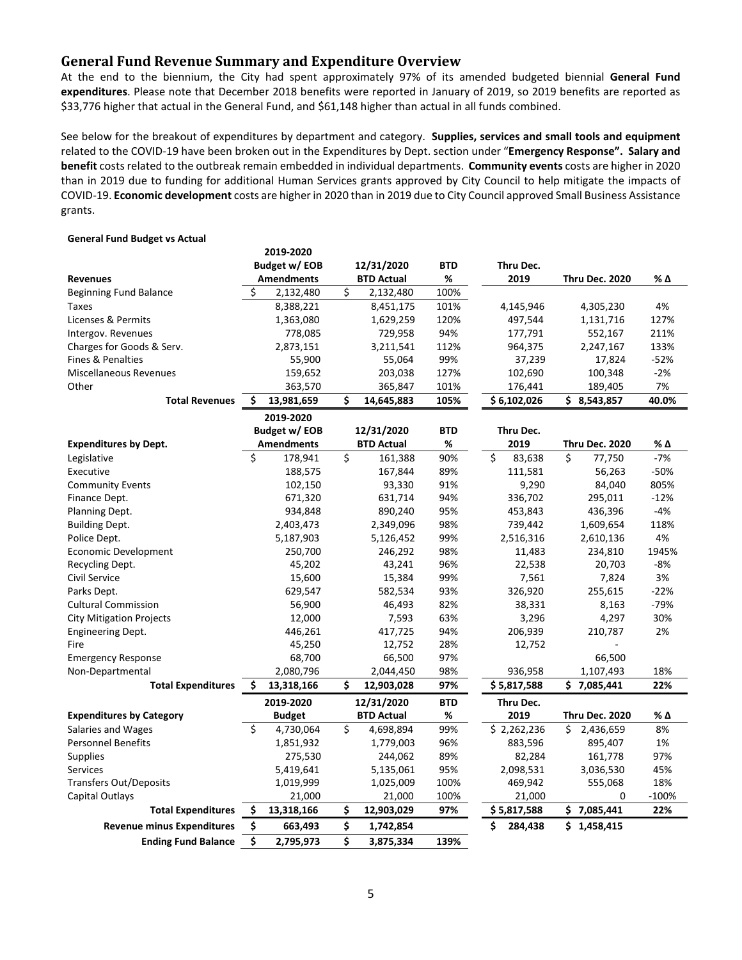## **General Fund Revenue Summary and Expenditure Overview**

At the end to the biennium, the City had spent approximately 97% of its amended budgeted biennial **General Fund expenditures**. Please note that December 2018 benefits were reported in January of 2019, so 2019 benefits are reported as \$33,776 higher that actual in the General Fund, and \$61,148 higher than actual in all funds combined.

See below for the breakout of expenditures by department and category. **Supplies, services and small tools and equipment** related to the COVID-19 have been broken out in the Expenditures by Dept. section under "**Emergency Response". Salary and benefit** costs related to the outbreak remain embedded in individual departments. **Community events** costs are higher in 2020 than in 2019 due to funding for additional Human Services grants approved by City Council to help mitigate the impacts of COVID-19. **Economic development** costs are higher in 2020 than in 2019 due to City Council approved Small Business Assistance grants.

|                                   |    | 2019-2020         |    |                   |            |                              |                       |         |
|-----------------------------------|----|-------------------|----|-------------------|------------|------------------------------|-----------------------|---------|
|                                   |    | Budget w/ EOB     |    | 12/31/2020        | <b>BTD</b> | Thru Dec.                    |                       |         |
| <b>Revenues</b>                   |    | <b>Amendments</b> |    | <b>BTD Actual</b> | %          | 2019                         | <b>Thru Dec. 2020</b> | % Δ     |
| <b>Beginning Fund Balance</b>     | \$ | 2,132,480         | \$ | 2,132,480         | 100%       |                              |                       |         |
| Taxes                             |    | 8,388,221         |    | 8,451,175         | 101%       | 4,145,946                    | 4,305,230             | 4%      |
| Licenses & Permits                |    | 1,363,080         |    | 1,629,259         | 120%       | 497,544                      | 1,131,716             | 127%    |
| Intergov. Revenues                |    | 778,085           |    | 729,958           | 94%        | 177,791                      | 552,167               | 211%    |
| Charges for Goods & Serv.         |    | 2,873,151         |    | 3,211,541         | 112%       | 964,375                      | 2,247,167             | 133%    |
| <b>Fines &amp; Penalties</b>      |    | 55,900            |    | 55,064            | 99%        | 37,239                       | 17,824                | $-52%$  |
| <b>Miscellaneous Revenues</b>     |    | 159,652           |    | 203,038           | 127%       | 102,690                      | 100,348               | $-2%$   |
| Other                             |    | 363,570           |    | 365,847           | 101%       | 176,441                      | 189,405               | 7%      |
| <b>Total Revenues</b>             | Ś. | 13,981,659        | Ś  | 14,645,883        | 105%       | \$6,102,026                  | \$3,543,857           | 40.0%   |
|                                   |    | 2019-2020         |    |                   |            |                              |                       |         |
|                                   |    | Budget w/ EOB     |    | 12/31/2020        | <b>BTD</b> | Thru Dec.                    |                       |         |
| <b>Expenditures by Dept.</b>      |    | <b>Amendments</b> |    | <b>BTD Actual</b> | %          | 2019                         | <b>Thru Dec. 2020</b> | % Δ     |
| Legislative                       | \$ | 178,941           | \$ | 161,388           | 90%        | $\mathsf{\hat{S}}$<br>83,638 | \$<br>77,750          | $-7%$   |
| Executive                         |    | 188,575           |    | 167,844           | 89%        | 111,581                      | 56,263                | $-50%$  |
| <b>Community Events</b>           |    | 102,150           |    | 93,330            | 91%        | 9,290                        | 84,040                | 805%    |
| Finance Dept.                     |    | 671,320           |    | 631,714           | 94%        | 336,702                      | 295,011               | $-12%$  |
| Planning Dept.                    |    | 934,848           |    | 890,240           | 95%        | 453,843                      | 436,396               | $-4%$   |
| <b>Building Dept.</b>             |    | 2,403,473         |    | 2,349,096         | 98%        | 739,442                      | 1,609,654             | 118%    |
| Police Dept.                      |    | 5,187,903         |    | 5,126,452         | 99%        | 2,516,316                    | 2,610,136             | 4%      |
| Economic Development              |    | 250,700           |    | 246,292           | 98%        | 11,483                       | 234,810               | 1945%   |
| Recycling Dept.                   |    | 45,202            |    | 43,241            | 96%        | 22,538                       | 20,703                | $-8%$   |
| Civil Service                     |    | 15,600            |    | 15,384            | 99%        | 7,561                        | 7,824                 | 3%      |
| Parks Dept.                       |    | 629,547           |    | 582,534           | 93%        | 326,920                      | 255,615               | $-22%$  |
| <b>Cultural Commission</b>        |    | 56,900            |    | 46,493            | 82%        | 38,331                       | 8,163                 | $-79%$  |
| <b>City Mitigation Projects</b>   |    | 12,000            |    | 7,593             | 63%        | 3,296                        | 4,297                 | 30%     |
| <b>Engineering Dept.</b>          |    | 446,261           |    | 417,725           | 94%        | 206,939                      | 210,787               | 2%      |
| Fire                              |    | 45,250            |    | 12,752            | 28%        | 12,752                       |                       |         |
| <b>Emergency Response</b>         |    | 68,700            |    | 66,500            | 97%        |                              | 66,500                |         |
| Non-Departmental                  |    | 2,080,796         |    | 2,044,450         | 98%        | 936,958                      | 1,107,493             | 18%     |
| <b>Total Expenditures</b>         | \$ | 13,318,166        | Ś  | 12,903,028        | 97%        | \$5,817,588                  | \$7,085,441           | 22%     |
|                                   |    | 2019-2020         |    | 12/31/2020        | <b>BTD</b> | Thru Dec.                    |                       |         |
| <b>Expenditures by Category</b>   |    | <b>Budget</b>     |    | <b>BTD Actual</b> | %          | 2019                         | <b>Thru Dec. 2020</b> | % Δ     |
| Salaries and Wages                | \$ | 4,730,064         | Ś. | 4,698,894         | 99%        | \$2,262,236                  | Ś.<br>2,436,659       | 8%      |
| <b>Personnel Benefits</b>         |    | 1,851,932         |    | 1,779,003         | 96%        | 883,596                      | 895,407               | 1%      |
| <b>Supplies</b>                   |    | 275,530           |    | 244,062           | 89%        | 82,284                       | 161,778               | 97%     |
| <b>Services</b>                   |    | 5,419,641         |    | 5,135,061         | 95%        | 2,098,531                    | 3,036,530             | 45%     |
| <b>Transfers Out/Deposits</b>     |    | 1,019,999         |    | 1,025,009         | 100%       | 469,942                      | 555,068               | 18%     |
| Capital Outlays                   |    | 21,000            |    | 21,000            | 100%       | 21,000                       | 0                     | $-100%$ |
| <b>Total Expenditures</b>         | \$ | 13,318,166        | \$ | 12,903,029        | 97%        | \$5,817,588                  | \$7,085,441           | 22%     |
| <b>Revenue minus Expenditures</b> | \$ | 663,493           | \$ | 1,742,854         |            | \$<br>284,438                | \$1,458,415           |         |
| <b>Ending Fund Balance</b>        | \$ | 2,795,973         | \$ | 3,875,334         | 139%       |                              |                       |         |

#### **General Fund Budget vs Actual**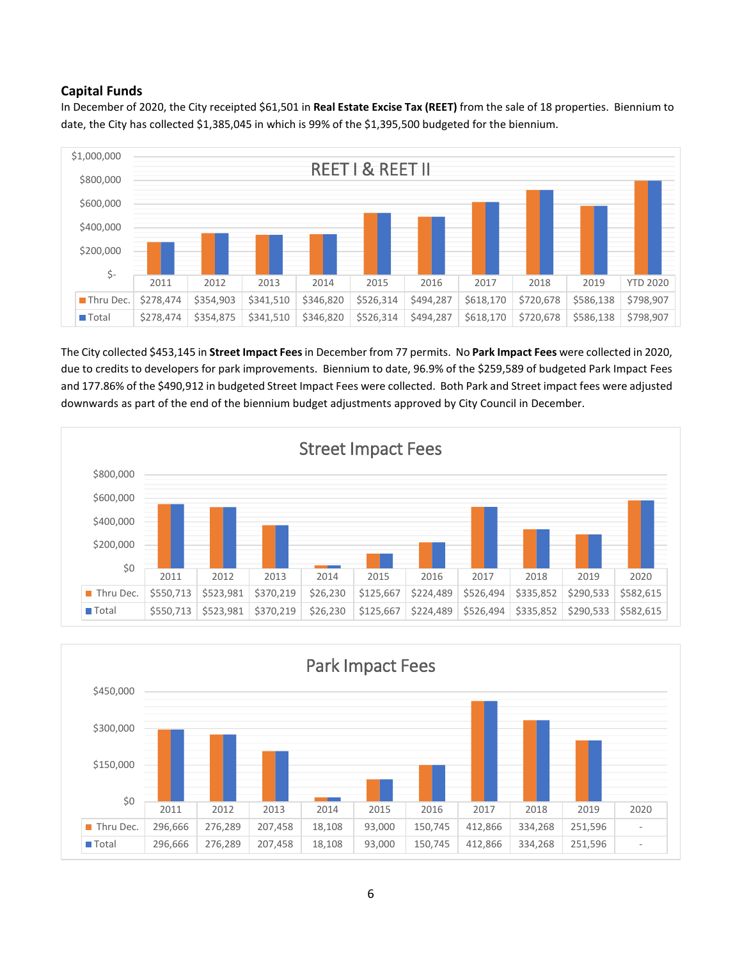# **Capital Funds**

In December of 2020, the City receipted \$61,501 in **Real Estate Excise Tax (REET)** from the sale of 18 properties. Biennium to date, the City has collected \$1,385,045 in which is 99% of the \$1,395,500 budgeted for the biennium.



The City collected \$453,145 in **Street Impact Fees**in December from 77 permits. No **Park Impact Fees** were collected in 2020, due to credits to developers for park improvements. Biennium to date, 96.9% of the \$259,589 of budgeted Park Impact Fees and 177.86% of the \$490,912 in budgeted Street Impact Fees were collected. Both Park and Street impact fees were adjusted downwards as part of the end of the biennium budget adjustments approved by City Council in December.



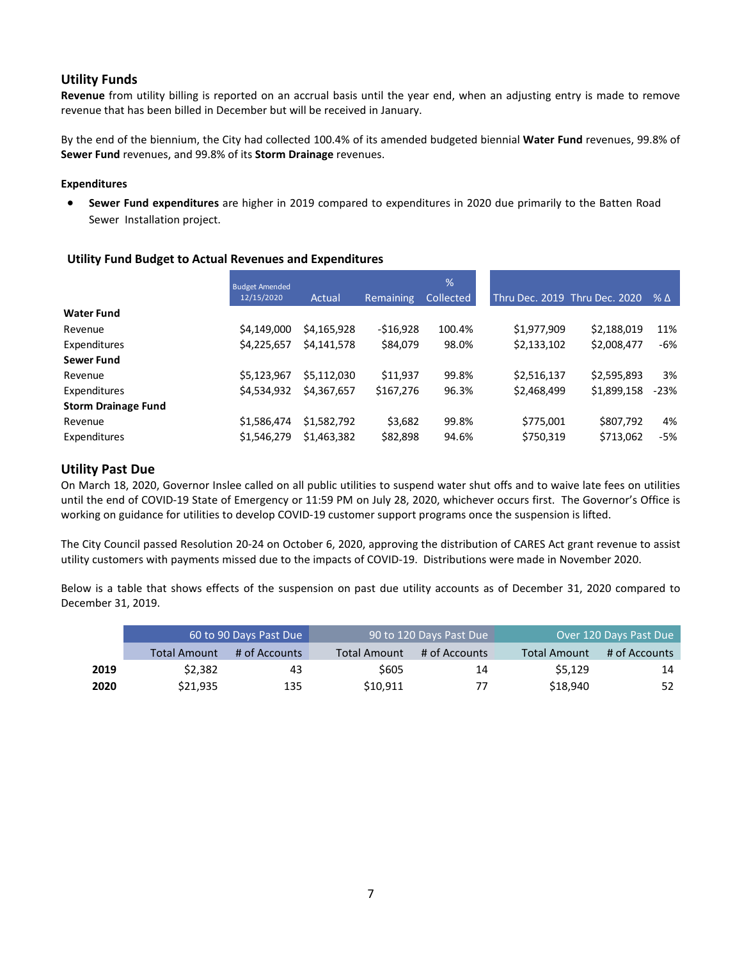# **Utility Funds**

**Revenue** from utility billing is reported on an accrual basis until the year end, when an adjusting entry is made to remove revenue that has been billed in December but will be received in January.

By the end of the biennium, the City had collected 100.4% of its amended budgeted biennial **Water Fund** revenues, 99.8% of **Sewer Fund** revenues, and 99.8% of its **Storm Drainage** revenues.

#### **Expenditures**

• **Sewer Fund expenditures** are higher in 2019 compared to expenditures in 2020 due primarily to the Batten Road Sewer Installation project.

#### **Utility Fund Budget to Actual Revenues and Expenditures**

|                            | <b>Budget Amended</b> |             |                  | %         |             |                               |        |
|----------------------------|-----------------------|-------------|------------------|-----------|-------------|-------------------------------|--------|
|                            | 12/15/2020            | Actual      | <b>Remaining</b> | Collected |             | Thru Dec. 2019 Thru Dec. 2020 | % Δ    |
| <b>Water Fund</b>          |                       |             |                  |           |             |                               |        |
| Revenue                    | \$4,149,000           | \$4,165,928 | $-516,928$       | 100.4%    | \$1,977,909 | \$2,188,019                   | 11%    |
| Expenditures               | \$4,225,657           | \$4,141,578 | \$84,079         | 98.0%     | \$2,133,102 | \$2,008,477                   | -6%    |
| <b>Sewer Fund</b>          |                       |             |                  |           |             |                               |        |
| Revenue                    | \$5,123,967           | \$5.112.030 | \$11,937         | 99.8%     | \$2,516,137 | \$2,595,893                   | 3%     |
| Expenditures               | \$4,534,932           | \$4,367,657 | \$167,276        | 96.3%     | \$2,468,499 | \$1,899,158                   | $-23%$ |
| <b>Storm Drainage Fund</b> |                       |             |                  |           |             |                               |        |
| Revenue                    | \$1,586,474           | \$1,582,792 | \$3,682          | 99.8%     | \$775,001   | \$807,792                     | 4%     |
| Expenditures               | \$1,546,279           | \$1,463,382 | \$82,898         | 94.6%     | \$750,319   | \$713,062                     | -5%    |

## **Utility Past Due**

On March 18, 2020, Governor Inslee called on all public utilities to suspend water shut offs and to waive late fees on utilities until the end of COVID-19 State of Emergency or 11:59 PM on July 28, 2020, whichever occurs first. The Governor's Office is working on guidance for utilities to develop COVID-19 customer support programs once the suspension is lifted.

The City Council passed Resolution 20-24 on October 6, 2020, approving the distribution of CARES Act grant revenue to assist utility customers with payments missed due to the impacts of COVID-19. Distributions were made in November 2020.

Below is a table that shows effects of the suspension on past due utility accounts as of December 31, 2020 compared to December 31, 2019.

|      |                     | 60 to 90 Days Past Due | 90 to 120 Days Past Due |               |                     | Over 120 Days Past Due |
|------|---------------------|------------------------|-------------------------|---------------|---------------------|------------------------|
|      | <b>Total Amount</b> | # of Accounts          | <b>Total Amount</b>     | # of Accounts | <b>Total Amount</b> | # of Accounts          |
| 2019 | \$2.382             | 43                     | \$605                   | 14            | S5.129              | 14                     |
| 2020 | \$21,935            | 135                    | \$10.911                | 77            | \$18,940            | 52                     |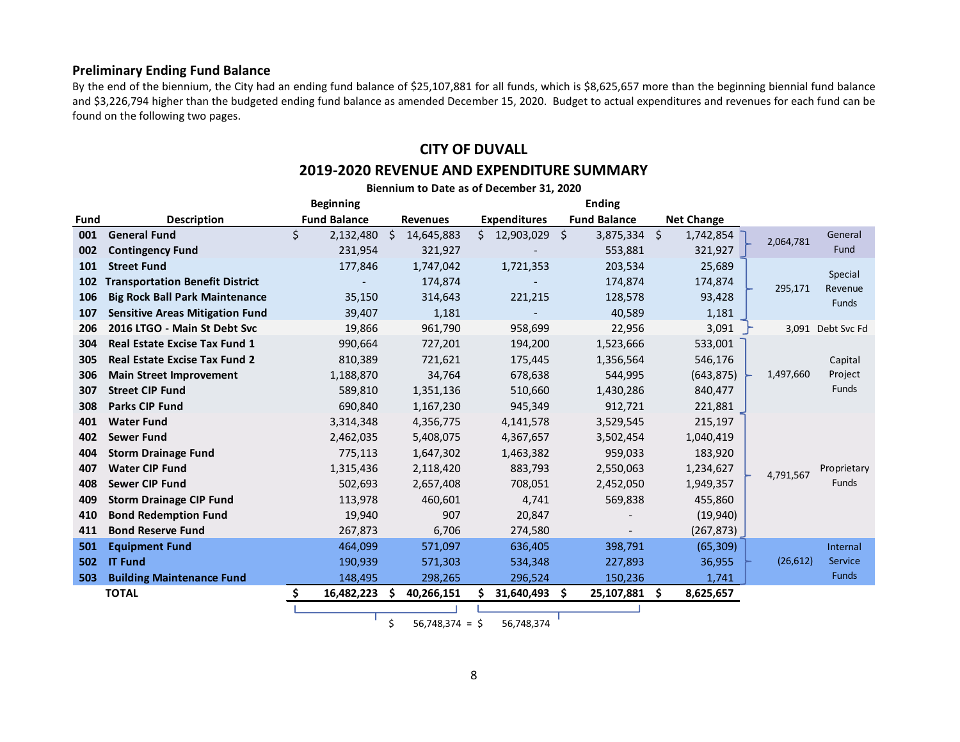## **Preliminary Ending Fund Balance**

By the end of the biennium, the City had an ending fund balance of \$25,107,881 for all funds, which is \$8,625,657 more than the beginning biennial fund balance and \$3,226,794 higher than the budgeted ending fund balance as amended December 15, 2020. Budget to actual expenditures and revenues for each fund can be found on the following two pages.

# **CITY OF DUVALL**

## **2019-2020 REVENUE AND EXPENDITURE SUMMARY**

|      | Biennium to Date as of December 31, 2020 |                     |                  |                     |                        |                   |           |                    |  |  |  |  |
|------|------------------------------------------|---------------------|------------------|---------------------|------------------------|-------------------|-----------|--------------------|--|--|--|--|
|      |                                          | <b>Beginning</b>    |                  |                     | <b>Ending</b>          |                   |           |                    |  |  |  |  |
| Fund | <b>Description</b>                       | <b>Fund Balance</b> | <b>Revenues</b>  | <b>Expenditures</b> | <b>Fund Balance</b>    | <b>Net Change</b> |           |                    |  |  |  |  |
| 001  | <b>General Fund</b>                      | \$<br>2,132,480     | -Ś<br>14,645,883 | Ś.<br>12,903,029    | - \$<br>$3,875,334$ \$ | 1,742,854         | 2,064,781 | General            |  |  |  |  |
| 002  | <b>Contingency Fund</b>                  | 231,954             | 321,927          |                     | 553,881                | 321,927           |           | Fund               |  |  |  |  |
| 101  | <b>Street Fund</b>                       | 177,846             | 1,747,042        | 1,721,353           | 203,534                | 25,689            |           |                    |  |  |  |  |
| 102  | <b>Transportation Benefit District</b>   |                     | 174,874          |                     | 174,874                | 174,874           | 295,171   | Special<br>Revenue |  |  |  |  |
| 106  | <b>Big Rock Ball Park Maintenance</b>    | 35,150              | 314,643          | 221,215             | 128,578                | 93,428            |           | <b>Funds</b>       |  |  |  |  |
| 107  | <b>Sensitive Areas Mitigation Fund</b>   | 39,407              | 1,181            |                     | 40,589                 | 1,181             |           |                    |  |  |  |  |
| 206  | 2016 LTGO - Main St Debt Svc             | 19,866              | 961,790          | 958,699             | 22,956                 | 3,091             |           | 3,091 Debt Svc Fd  |  |  |  |  |
| 304  | <b>Real Estate Excise Tax Fund 1</b>     | 990,664             | 727,201          | 194,200             | 1,523,666              | 533,001           |           |                    |  |  |  |  |
| 305  | <b>Real Estate Excise Tax Fund 2</b>     | 810,389             | 721,621          | 175,445             | 1,356,564              | 546,176           |           | Capital            |  |  |  |  |
| 306  | <b>Main Street Improvement</b>           | 1,188,870           | 34,764           | 678,638             | 544,995                | (643, 875)        | 1,497,660 | Project            |  |  |  |  |
| 307  | <b>Street CIP Fund</b>                   | 589,810             | 1,351,136        | 510,660             | 1,430,286              | 840,477           |           | Funds              |  |  |  |  |
| 308  | <b>Parks CIP Fund</b>                    | 690,840             | 1,167,230        | 945,349             | 912,721                | 221,881           |           |                    |  |  |  |  |
| 401  | <b>Water Fund</b>                        | 3,314,348           | 4,356,775        | 4,141,578           | 3,529,545              | 215,197           |           |                    |  |  |  |  |
| 402  | <b>Sewer Fund</b>                        | 2,462,035           | 5,408,075        | 4,367,657           | 3,502,454              | 1,040,419         |           |                    |  |  |  |  |
| 404  | <b>Storm Drainage Fund</b>               | 775,113             | 1,647,302        | 1,463,382           | 959,033                | 183,920           |           |                    |  |  |  |  |
| 407  | <b>Water CIP Fund</b>                    | 1,315,436           | 2,118,420        | 883,793             | 2,550,063              | 1,234,627         | 4,791,567 | Proprietary        |  |  |  |  |
| 408  | <b>Sewer CIP Fund</b>                    | 502,693             | 2,657,408        | 708,051             | 2,452,050              | 1,949,357         |           | Funds              |  |  |  |  |
| 409  | <b>Storm Drainage CIP Fund</b>           | 113,978             | 460,601          | 4,741               | 569,838                | 455,860           |           |                    |  |  |  |  |
| 410  | <b>Bond Redemption Fund</b>              | 19,940              | 907              | 20,847              |                        | (19, 940)         |           |                    |  |  |  |  |
| 411  | <b>Bond Reserve Fund</b>                 | 267,873             | 6,706            | 274,580             |                        | (267, 873)        |           |                    |  |  |  |  |
| 501  | <b>Equipment Fund</b>                    | 464,099             | 571,097          | 636,405             | 398,791                | (65, 309)         |           | Internal           |  |  |  |  |
| 502  | <b>IT Fund</b>                           | 190,939             | 571,303          | 534,348             | 227,893                | 36,955            | (26, 612) | Service            |  |  |  |  |
| 503  | <b>Building Maintenance Fund</b>         | 148,495             | 298,265          | 296,524             | 150,236                | 1,741             |           | <b>Funds</b>       |  |  |  |  |
|      | <b>TOTAL</b>                             | S<br>16,482,223     | .S<br>40,266,151 | 31,640,493 \$       | 25,107,881             | -\$<br>8,625,657  |           |                    |  |  |  |  |
|      |                                          |                     |                  |                     |                        |                   |           |                    |  |  |  |  |

 $\frac{1}{5}$  56,748,374 = \$ 56,748,374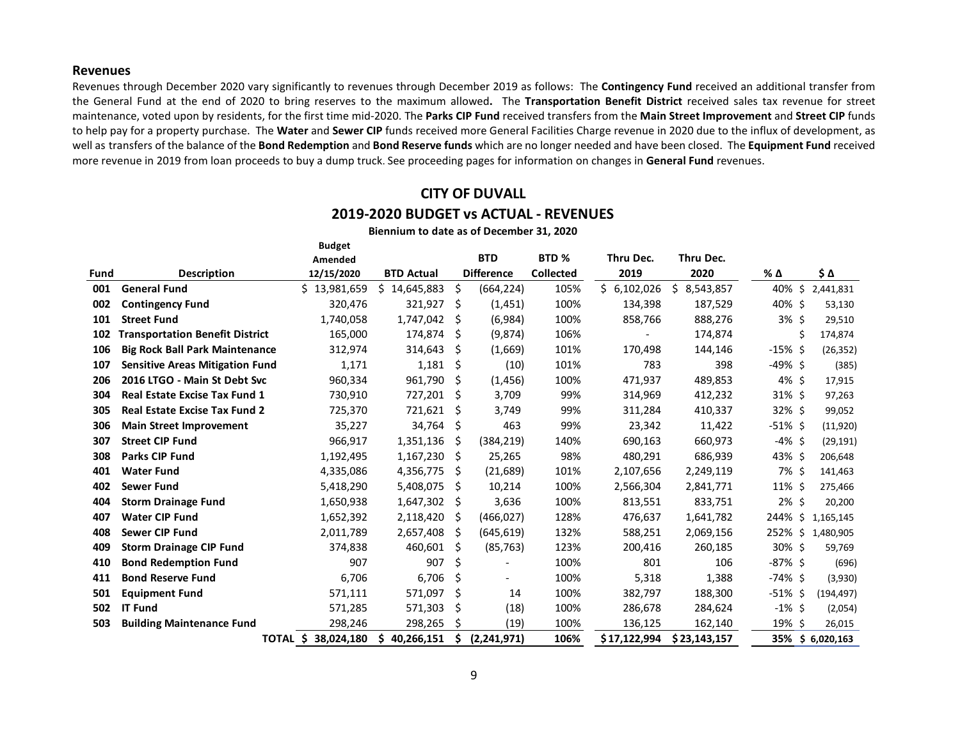#### **Revenues**

Revenues through December 2020 vary significantly to revenues through December 2019 as follows:The **Contingency Fund** received an additional transfer from the General Fund at the end of 2020 to bring reserves to the maximum allowed**.** The **Transportation Benefit District** received sales tax revenue for street maintenance, voted upon by residents, for the first time mid-2020. The **Parks CIP Fund** received transfers from the **Main Street Improvement** and **Street CIP** funds to help pay for a property purchase. The **Water** and **Sewer CIP** funds received more General Facilities Charge revenue in 2020 due to the influx of development, as well as transfers of the balance of the **Bond Redemption** and **Bond Reserve funds** which are no longer needed and have been closed. The **Equipment Fund** received more revenue in 2019 from loan proceeds to buy a dump truck. See proceeding pages for information on changes in **General Fund** revenues.

# **CITY OF DUVALL**

#### **2019-2020 BUDGET vs ACTUAL - REVENUES**

|      | <b>Budget</b>                          |                        |                   |    |                          |                  |              |                 |            |                  |
|------|----------------------------------------|------------------------|-------------------|----|--------------------------|------------------|--------------|-----------------|------------|------------------|
|      |                                        | Amended                |                   |    | <b>BTD</b>               | BTD <sub>%</sub> | Thru Dec.    | Thru Dec.       |            |                  |
| Fund | <b>Description</b>                     | 12/15/2020             | <b>BTD Actual</b> |    | <b>Difference</b>        | <b>Collected</b> | 2019         | 2020            | % Δ        | \$Δ              |
| 001  | <b>General Fund</b>                    | \$13,981,659           | Ś.<br>14,645,883  | \$ | (664, 224)               | 105%             | \$6,102,026  | Ś.<br>8,543,857 | 40% \$     | 2,441,831        |
| 002  | <b>Contingency Fund</b>                | 320,476                | 321,927           | \$ | (1,451)                  | 100%             | 134,398      | 187,529         | 40% \$     | 53,130           |
| 101  | <b>Street Fund</b>                     | 1,740,058              | 1,747,042         | \$ | (6,984)                  | 100%             | 858,766      | 888,276         | 3%5        | 29,510           |
| 102  | <b>Transportation Benefit District</b> | 165,000                | 174,874           | S. | (9,874)                  | 106%             |              | 174,874         |            | \$<br>174,874    |
| 106  | <b>Big Rock Ball Park Maintenance</b>  | 312,974                | 314,643           | \$ | (1,669)                  | 101%             | 170,498      | 144,146         | $-15%$ \$  | (26, 352)        |
| 107  | <b>Sensitive Areas Mitigation Fund</b> | 1,171                  | 1,181             | \$ | (10)                     | 101%             | 783          | 398             | -49% \$    | (385)            |
| 206  | 2016 LTGO - Main St Debt Svc           | 960,334                | 961,790           | \$ | (1,456)                  | 100%             | 471,937      | 489,853         | $4\%$ \$   | 17,915           |
| 304  | <b>Real Estate Excise Tax Fund 1</b>   | 730,910                | 727,201           | \$ | 3,709                    | 99%              | 314,969      | 412,232         | 31% \$     | 97,263           |
| 305  | <b>Real Estate Excise Tax Fund 2</b>   | 725,370                | 721,621           | \$ | 3,749                    | 99%              | 311,284      | 410,337         | 32% \$     | 99,052           |
| 306  | <b>Main Street Improvement</b>         | 35,227                 | 34,764            | \$ | 463                      | 99%              | 23,342       | 11,422          | $-51\%$ \$ | (11,920)         |
| 307  | <b>Street CIP Fund</b>                 | 966,917                | 1,351,136         | S  | (384, 219)               | 140%             | 690,163      | 660,973         | $-4\%$ \$  | (29, 191)        |
| 308  | <b>Parks CIP Fund</b>                  | 1,192,495              | 1,167,230         | \$ | 25,265                   | 98%              | 480,291      | 686,939         | 43% \$     | 206,648          |
| 401  | <b>Water Fund</b>                      | 4,335,086              | 4,356,775         | \$ | (21, 689)                | 101%             | 2,107,656    | 2,249,119       | 7% \$      | 141,463          |
| 402  | Sewer Fund                             | 5,418,290              | 5,408,075         | \$ | 10,214                   | 100%             | 2,566,304    | 2,841,771       | $11\%$ \$  | 275,466          |
| 404  | <b>Storm Drainage Fund</b>             | 1,650,938              | 1,647,302         | \$ | 3,636                    | 100%             | 813,551      | 833,751         | $2\%$ \$   | 20,200           |
| 407  | <b>Water CIP Fund</b>                  | 1,652,392              | 2,118,420         | Ş  | (466, 027)               | 128%             | 476,637      | 1,641,782       | 244% \$    | 1,165,145        |
| 408  | <b>Sewer CIP Fund</b>                  | 2,011,789              | 2,657,408         | \$ | (645, 619)               | 132%             | 588,251      | 2,069,156       | 252% \$    | 1,480,905        |
| 409  | <b>Storm Drainage CIP Fund</b>         | 374,838                | 460,601           | \$ | (85, 763)                | 123%             | 200,416      | 260,185         | 30% \$     | 59,769           |
| 410  | <b>Bond Redemption Fund</b>            | 907                    | 907               | \$ |                          | 100%             | 801          | 106             | -87% \$    | (696)            |
| 411  | <b>Bond Reserve Fund</b>               | 6,706                  | 6,706             | \$ | $\overline{\phantom{0}}$ | 100%             | 5,318        | 1,388           | $-74\%$ \$ | (3,930)          |
| 501  | <b>Equipment Fund</b>                  | 571,111                | 571,097           | \$ | 14                       | 100%             | 382,797      | 188,300         | $-51\%$ \$ | (194, 497)       |
| 502  | <b>IT Fund</b>                         | 571,285                | 571,303           | \$ | (18)                     | 100%             | 286,678      | 284,624         | $-1\%$ \$  | (2,054)          |
| 503  | <b>Building Maintenance Fund</b>       | 298,246                | 298,265           | \$ | (19)                     | 100%             | 136,125      | 162,140         | 19% \$     | 26,015           |
|      |                                        | 38,024,180<br>TOTAL \$ | 40,266,151<br>\$  | \$ | (2,241,971)              | 106%             | \$17,122,994 | \$23,143,157    |            | 35% \$ 6,020,163 |

**Biennium to date as of December 31, 2020**